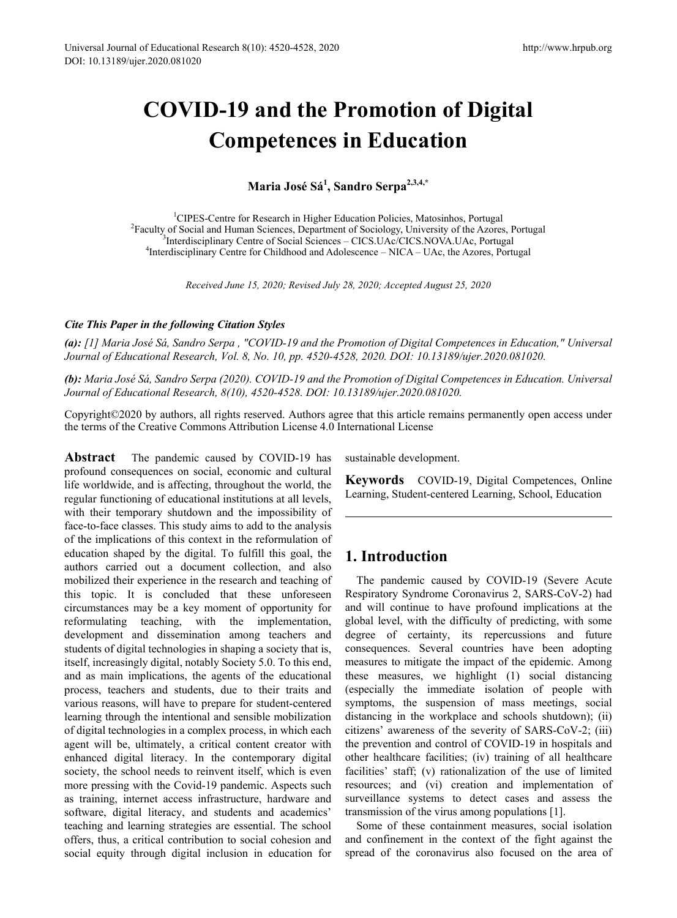# **COVID-19 and the Promotion of Digital Competences in Education**

**Maria José Sá<sup>1</sup> , Sandro Serpa2,3,4,\***

<sup>1</sup>CIPES-Centre for Research in Higher Education Policies, Matosinhos, Portugal<br><sup>2</sup>Eaculty of Social and Human Sciences, Department of Sociology, University of the Azore <sup>2</sup> Faculty of Social and Human Sciences, Department of Sociology, University of the Azores, Portugal <sup>3</sup>Interdisciplinary Centre of Social Sciences – CICS.UAc/CICS.NOVA.UAc, Portugal <sup>4</sup>Interdisciplinary Centre for Childhood and Adolescence – NICA – UAc, the Azores, Portugal

*Received June 15, 2020; Revised July 28, 2020; Accepted August 25, 2020*

#### *Cite This Paper in the following Citation Styles*

*(a): [1] Maria José Sá, Sandro Serpa , "COVID-19 and the Promotion of Digital Competences in Education," Universal Journal of Educational Research, Vol. 8, No. 10, pp. 4520-4528, 2020. DOI: 10.13189/ujer.2020.081020.* 

*(b): Maria José Sá, Sandro Serpa (2020). COVID-19 and the Promotion of Digital Competences in Education. Universal Journal of Educational Research, 8(10), 4520-4528. DOI: 10.13189/ujer.2020.081020.* 

Copyright©2020 by authors, all rights reserved. Authors agree that this article remains permanently open access under the terms of the Creative Commons Attribution License 4.0 International License

**Abstract** The pandemic caused by COVID-19 has profound consequences on social, economic and cultural life worldwide, and is affecting, throughout the world, the regular functioning of educational institutions at all levels, with their temporary shutdown and the impossibility of face-to-face classes. This study aims to add to the analysis of the implications of this context in the reformulation of education shaped by the digital. To fulfill this goal, the authors carried out a document collection, and also mobilized their experience in the research and teaching of this topic. It is concluded that these unforeseen circumstances may be a key moment of opportunity for reformulating teaching, with the implementation, development and dissemination among teachers and students of digital technologies in shaping a society that is, itself, increasingly digital, notably Society 5.0. To this end, and as main implications, the agents of the educational process, teachers and students, due to their traits and various reasons, will have to prepare for student-centered learning through the intentional and sensible mobilization of digital technologies in a complex process, in which each agent will be, ultimately, a critical content creator with enhanced digital literacy. In the contemporary digital society, the school needs to reinvent itself, which is even more pressing with the Covid-19 pandemic. Aspects such as training, internet access infrastructure, hardware and software, digital literacy, and students and academics' teaching and learning strategies are essential. The school offers, thus, a critical contribution to social cohesion and social equity through digital inclusion in education for

sustainable development.

**Keywords** COVID-19, Digital Competences, Online Learning, Student-centered Learning, School, Education

## **1. Introduction**

The pandemic caused by COVID-19 (Severe Acute Respiratory Syndrome Coronavirus 2, SARS-CoV-2) had and will continue to have profound implications at the global level, with the difficulty of predicting, with some degree of certainty, its repercussions and future consequences. Several countries have been adopting measures to mitigate the impact of the epidemic. Among these measures, we highlight (1) social distancing (especially the immediate isolation of people with symptoms, the suspension of mass meetings, social distancing in the workplace and schools shutdown); (ii) citizens' awareness of the severity of SARS-CoV-2; (iii) the prevention and control of COVID-19 in hospitals and other healthcare facilities; (iv) training of all healthcare facilities' staff; (v) rationalization of the use of limited resources; and (vi) creation and implementation of surveillance systems to detect cases and assess the transmission of the virus among populations [1].

Some of these containment measures, social isolation and confinement in the context of the fight against the spread of the coronavirus also focused on the area of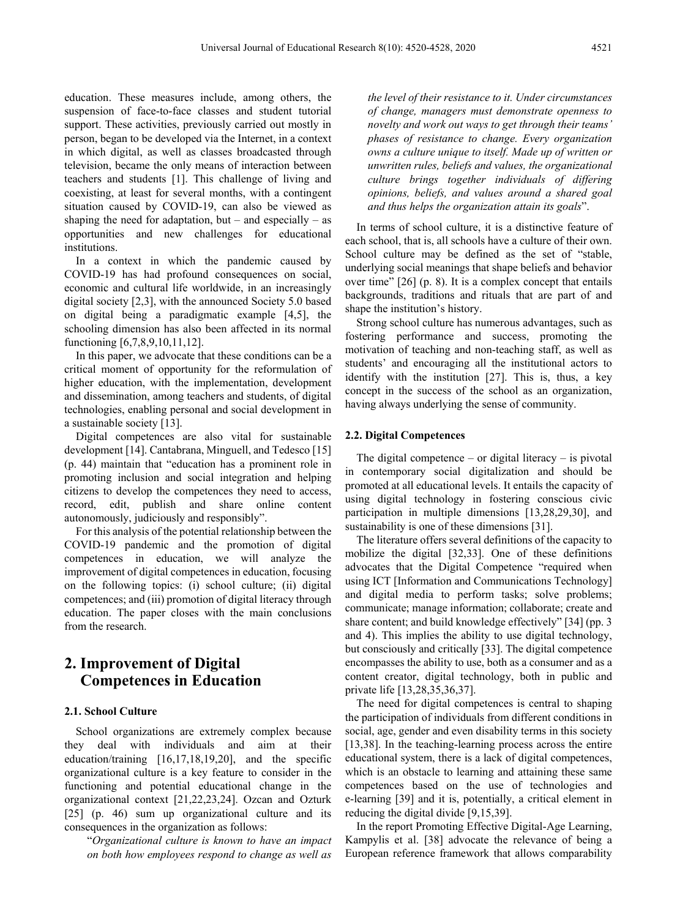education. These measures include, among others, the suspension of face-to-face classes and student tutorial support. These activities, previously carried out mostly in person, began to be developed via the Internet, in a context in which digital, as well as classes broadcasted through television, became the only means of interaction between teachers and students [1]. This challenge of living and coexisting, at least for several months, with a contingent situation caused by COVID-19, can also be viewed as shaping the need for adaptation, but – and especially – as opportunities and new challenges for educational institutions.

In a context in which the pandemic caused by COVID-19 has had profound consequences on social, economic and cultural life worldwide, in an increasingly digital society [2,3], with the announced Society 5.0 based on digital being a paradigmatic example [4,5], the schooling dimension has also been affected in its normal functioning [6,7,8,9,10,11,12].

In this paper, we advocate that these conditions can be a critical moment of opportunity for the reformulation of higher education, with the implementation, development and dissemination, among teachers and students, of digital technologies, enabling personal and social development in a sustainable society [13].

Digital competences are also vital for sustainable development [14]. Cantabrana, Minguell, and Tedesco [15] (p. 44) maintain that "education has a prominent role in promoting inclusion and social integration and helping citizens to develop the competences they need to access, record, edit, publish and share online content autonomously, judiciously and responsibly".

For this analysis of the potential relationship between the COVID-19 pandemic and the promotion of digital competences in education, we will analyze the improvement of digital competences in education, focusing on the following topics: (i) school culture; (ii) digital competences; and (iii) promotion of digital literacy through education. The paper closes with the main conclusions from the research.

## **2. Improvement of Digital Competences in Education**

#### **2.1. School Culture**

School organizations are extremely complex because they deal with individuals and aim at their education/training [16,17,18,19,20], and the specific organizational culture is a key feature to consider in the functioning and potential educational change in the organizational context [21,22,23,24]. Ozcan and Ozturk [25] (p. 46) sum up organizational culture and its consequences in the organization as follows:

"*Organizational culture is known to have an impact on both how employees respond to change as well as*  *the level of their resistance to it. Under circumstances of change, managers must demonstrate openness to novelty and work out ways to get through their teams' phases of resistance to change. Every organization owns a culture unique to itself. Made up of written or unwritten rules, beliefs and values, the organizational culture brings together individuals of differing opinions, beliefs, and values around a shared goal and thus helps the organization attain its goals*".

In terms of school culture, it is a distinctive feature of each school, that is, all schools have a culture of their own. School culture may be defined as the set of "stable, underlying social meanings that shape beliefs and behavior over time" [26] (p. 8). It is a complex concept that entails backgrounds, traditions and rituals that are part of and shape the institution's history.

Strong school culture has numerous advantages, such as fostering performance and success, promoting the motivation of teaching and non-teaching staff, as well as students' and encouraging all the institutional actors to identify with the institution [27]. This is, thus, a key concept in the success of the school as an organization, having always underlying the sense of community.

#### **2.2. Digital Competences**

The digital competence – or digital literacy – is pivotal in contemporary social digitalization and should be promoted at all educational levels. It entails the capacity of using digital technology in fostering conscious civic participation in multiple dimensions [13,28,29,30], and sustainability is one of these dimensions [31].

The literature offers several definitions of the capacity to mobilize the digital [32,33]. One of these definitions advocates that the Digital Competence "required when using ICT [Information and Communications Technology] and digital media to perform tasks; solve problems; communicate; manage information; collaborate; create and share content; and build knowledge effectively" [34] (pp. 3 and 4). This implies the ability to use digital technology, but consciously and critically [33]. The digital competence encompasses the ability to use, both as a consumer and as a content creator, digital technology, both in public and private life [13,28,35,36,37].

The need for digital competences is central to shaping the participation of individuals from different conditions in social, age, gender and even disability terms in this society [13,38]. In the teaching-learning process across the entire educational system, there is a lack of digital competences, which is an obstacle to learning and attaining these same competences based on the use of technologies and e-learning [39] and it is, potentially, a critical element in reducing the digital divide [9,15,39].

In the report Promoting Effective Digital-Age Learning, Kampylis et al. [38] advocate the relevance of being a European reference framework that allows comparability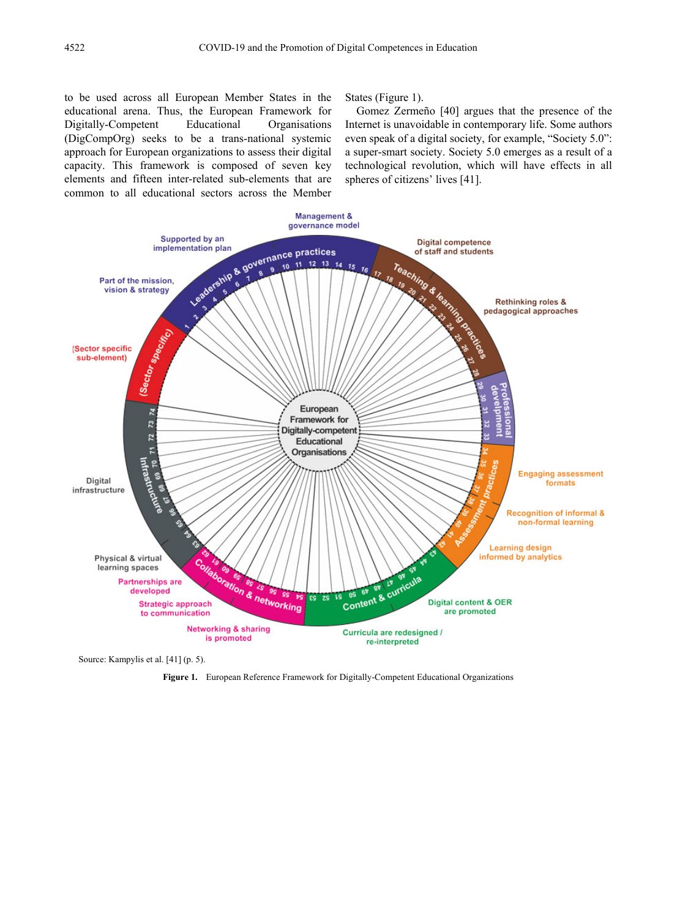to be used across all European Member States in the educational arena. Thus, the European Framework for Digitally-Competent Educational Organisations (DigCompOrg) seeks to be a trans-national systemic approach for European organizations to assess their digital capacity. This framework is composed of seven key elements and fifteen inter-related sub-elements that are common to all educational sectors across the Member

States (Figure 1).

Gomez Zermeño [40] argues that the presence of the Internet is unavoidable in contemporary life. Some authors even speak of a digital society, for example, "Society 5.0": a super-smart society. Society 5.0 emerges as a result of a technological revolution, which will have effects in all spheres of citizens' lives [41].



Source: Kampylis et al. [41] (p. 5).

**Figure 1.** European Reference Framework for Digitally-Competent Educational Organizations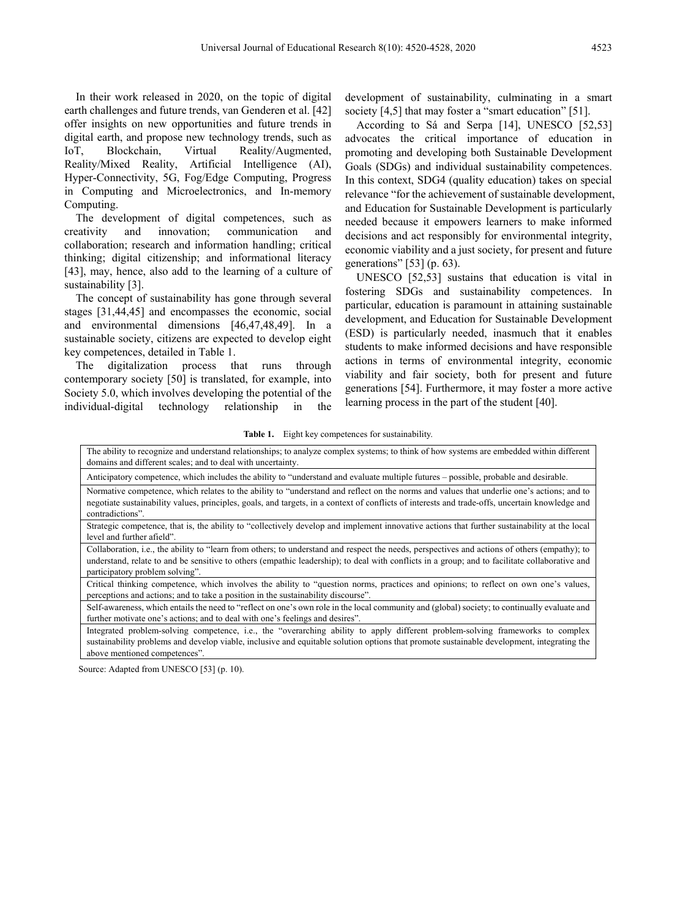In their work released in 2020, on the topic of digital earth challenges and future trends, van Genderen et al. [42] offer insights on new opportunities and future trends in digital earth, and propose new technology trends, such as IoT, Blockchain, Virtual Reality/Augmented, Reality/Mixed Reality, Artificial Intelligence (AI), Hyper-Connectivity, 5G, Fog/Edge Computing, Progress in Computing and Microelectronics, and In-memory Computing.

The development of digital competences, such as creativity and innovation; communication and collaboration; research and information handling; critical thinking; digital citizenship; and informational literacy [43], may, hence, also add to the learning of a culture of sustainability [3].

The concept of sustainability has gone through several stages [31,44,45] and encompasses the economic, social and environmental dimensions [46,47,48,49]. In a sustainable society, citizens are expected to develop eight key competences, detailed in Table 1.

The digitalization process that runs through contemporary society [50] is translated, for example, into Society 5.0, which involves developing the potential of the individual-digital technology relationship in the

development of sustainability, culminating in a smart society [4,5] that may foster a "smart education" [51].

According to Sá and Serpa [14], UNESCO [52,53] advocates the critical importance of education in promoting and developing both Sustainable Development Goals (SDGs) and individual sustainability competences. In this context, SDG4 (quality education) takes on special relevance "for the achievement of sustainable development, and Education for Sustainable Development is particularly needed because it empowers learners to make informed decisions and act responsibly for environmental integrity, economic viability and a just society, for present and future generations" [53] (p. 63).

UNESCO [52,53] sustains that education is vital in fostering SDGs and sustainability competences. In particular, education is paramount in attaining sustainable development, and Education for Sustainable Development (ESD) is particularly needed, inasmuch that it enables students to make informed decisions and have responsible actions in terms of environmental integrity, economic viability and fair society, both for present and future generations [54]. Furthermore, it may foster a more active learning process in the part of the student [40].

**Table 1.** Eight key competences for sustainability.

| The ability to recognize and understand relationships; to analyze complex systems; to think of how systems are embedded within different<br>domains and different scales; and to deal with uncertainty.                                                                                                                            |
|------------------------------------------------------------------------------------------------------------------------------------------------------------------------------------------------------------------------------------------------------------------------------------------------------------------------------------|
| Anticipatory competence, which includes the ability to "understand and evaluate multiple futures – possible, probable and desirable.                                                                                                                                                                                               |
| Normative competence, which relates to the ability to "understand and reflect on the norms and values that underlie one's actions; and to<br>negotiate sustainability values, principles, goals, and targets, in a context of conflicts of interests and trade-offs, uncertain knowledge and<br>contradictions".                   |
| Strategic competence, that is, the ability to "collectively develop and implement innovative actions that further sustainability at the local<br>level and further afield".                                                                                                                                                        |
| Collaboration, i.e., the ability to "learn from others; to understand and respect the needs, perspectives and actions of others (empathy); to<br>understand, relate to and be sensitive to others (empathic leadership); to deal with conflicts in a group; and to facilitate collaborative and<br>participatory problem solving". |
| Critical thinking competence, which involves the ability to "question norms, practices and opinions; to reflect on own one's values,<br>perceptions and actions; and to take a position in the sustainability discourse".                                                                                                          |
| Self-awareness, which entails the need to "reflect on one's own role in the local community and (global) society; to continually evaluate and<br>further motivate one's actions; and to deal with one's feelings and desires".                                                                                                     |
| Integrated problem-solving competence, i.e., the "overarching ability to apply different problem-solving frameworks to complex                                                                                                                                                                                                     |

Integrated problem-solving competence, i.e., the "overarching ability to apply different problem-solving frameworks to complex sustainability problems and develop viable, inclusive and equitable solution options that promote sustainable development, integrating the above mentioned competences".

Source: Adapted from UNESCO [53] (p. 10).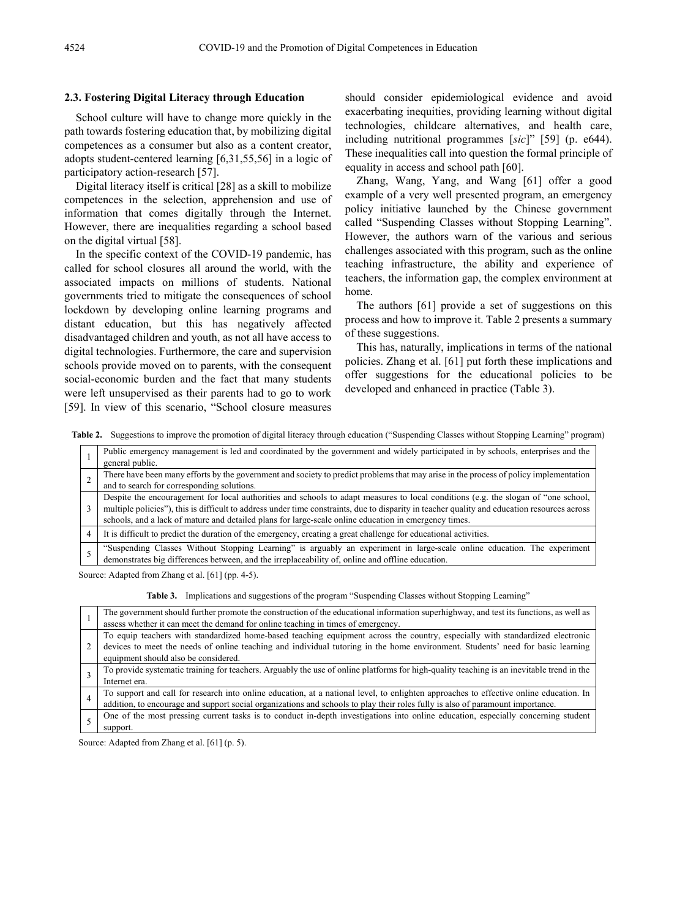#### **2.3. Fostering Digital Literacy through Education**

School culture will have to change more quickly in the path towards fostering education that, by mobilizing digital competences as a consumer but also as a content creator, adopts student-centered learning [6,31,55,56] in a logic of participatory action-research [57].

Digital literacy itself is critical [28] as a skill to mobilize competences in the selection, apprehension and use of information that comes digitally through the Internet. However, there are inequalities regarding a school based on the digital virtual [58].

In the specific context of the COVID-19 pandemic, has called for school closures all around the world, with the associated impacts on millions of students. National governments tried to mitigate the consequences of school lockdown by developing online learning programs and distant education, but this has negatively affected disadvantaged children and youth, as not all have access to digital technologies. Furthermore, the care and supervision schools provide moved on to parents, with the consequent social-economic burden and the fact that many students were left unsupervised as their parents had to go to work [59]. In view of this scenario, "School closure measures

should consider epidemiological evidence and avoid exacerbating inequities, providing learning without digital technologies, childcare alternatives, and health care, including nutritional programmes [*sic*]" [59] (p. e644). These inequalities call into question the formal principle of equality in access and school path [60].

Zhang, Wang, Yang, and Wang [61] offer a good example of a very well presented program, an emergency policy initiative launched by the Chinese government called "Suspending Classes without Stopping Learning". However, the authors warn of the various and serious challenges associated with this program, such as the online teaching infrastructure, the ability and experience of teachers, the information gap, the complex environment at home.

The authors [61] provide a set of suggestions on this process and how to improve it. Table 2 presents a summary of these suggestions.

This has, naturally, implications in terms of the national policies. Zhang et al. [61] put forth these implications and offer suggestions for the educational policies to be developed and enhanced in practice (Table 3).

**Table 2.** Suggestions to improve the promotion of digital literacy through education ("Suspending Classes without Stopping Learning" program)

| Public emergency management is led and coordinated by the government and widely participated in by schools, enterprises and the<br>general public.                                                                                                                                                                                                                                          |
|---------------------------------------------------------------------------------------------------------------------------------------------------------------------------------------------------------------------------------------------------------------------------------------------------------------------------------------------------------------------------------------------|
| There have been many efforts by the government and society to predict problems that may arise in the process of policy implementation<br>and to search for corresponding solutions.                                                                                                                                                                                                         |
| Despite the encouragement for local authorities and schools to adapt measures to local conditions (e.g. the slogan of "one school,<br>multiple policies"), this is difficult to address under time constraints, due to disparity in teacher quality and education resources across<br>schools, and a lack of mature and detailed plans for large-scale online education in emergency times. |
| It is difficult to predict the duration of the emergency, creating a great challenge for educational activities.                                                                                                                                                                                                                                                                            |
| "Suspending Classes Without Stopping Learning" is arguably an experiment in large-scale online education. The experiment demonstrates big differences between, and the irreplaceability of, online and offline education.                                                                                                                                                                   |

Source: Adapted from Zhang et al. [61] (pp. 4-5).

**Table 3.** Implications and suggestions of the program "Suspending Classes without Stopping Learning"

|  | The government should further promote the construction of the educational information superhighway, and test its functions, as well as    |
|--|-------------------------------------------------------------------------------------------------------------------------------------------|
|  | assess whether it can meet the demand for online teaching in times of emergency.                                                          |
|  | To equip teachers with standardized home-based teaching equipment across the country, especially with standardized electronic             |
|  | devices to meet the needs of online teaching and individual tutoring in the home environment. Students' need for basic learning           |
|  | equipment should also be considered.                                                                                                      |
|  | To provide systematic training for teachers. Arguably the use of online platforms for high-quality teaching is an inevitable trend in the |
|  | Internet era.                                                                                                                             |
|  | To support and call for research into online education, at a national level, to enlighten approaches to effective online education. In    |
|  | addition, to encourage and support social organizations and schools to play their roles fully is also of paramount importance.            |
|  | One of the most pressing current tasks is to conduct in-depth investigations into online education, especially concerning student         |
|  | support.                                                                                                                                  |

Source: Adapted from Zhang et al. [61] (p. 5).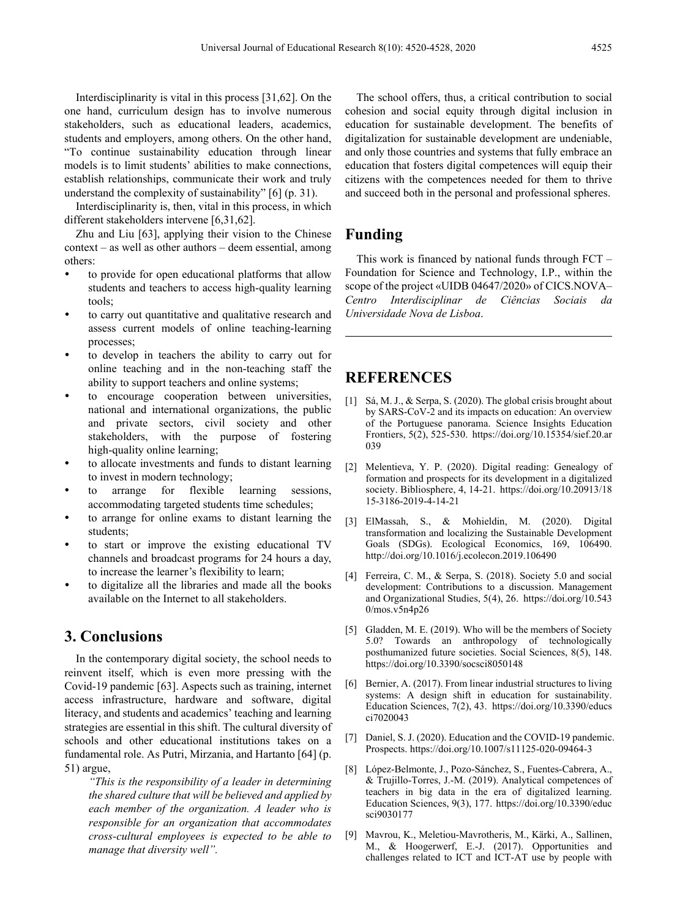Interdisciplinarity is vital in this process [31,62]. On the one hand, curriculum design has to involve numerous stakeholders, such as educational leaders, academics, students and employers, among others. On the other hand, "To continue sustainability education through linear models is to limit students' abilities to make connections, establish relationships, communicate their work and truly understand the complexity of sustainability" [6] (p. 31).

Interdisciplinarity is, then, vital in this process, in which different stakeholders intervene [6,31,62].

Zhu and Liu [63], applying their vision to the Chinese context – as well as other authors – deem essential, among others:

- to provide for open educational platforms that allow students and teachers to access high-quality learning tools;
- to carry out quantitative and qualitative research and assess current models of online teaching-learning processes;
- to develop in teachers the ability to carry out for online teaching and in the non-teaching staff the ability to support teachers and online systems;
- to encourage cooperation between universities, national and international organizations, the public and private sectors, civil society and other stakeholders, with the purpose of fostering high-quality online learning;
- to allocate investments and funds to distant learning to invest in modern technology;
- to arrange for flexible learning sessions, accommodating targeted students time schedules;
- to arrange for online exams to distant learning the students;
- to start or improve the existing educational TV channels and broadcast programs for 24 hours a day, to increase the learner's flexibility to learn;
- to digitalize all the libraries and made all the books available on the Internet to all stakeholders.

## **3. Conclusions**

In the contemporary digital society, the school needs to reinvent itself, which is even more pressing with the Covid-19 pandemic [63]. Aspects such as training, internet access infrastructure, hardware and software, digital literacy, and students and academics' teaching and learning strategies are essential in this shift. The cultural diversity of schools and other educational institutions takes on a fundamental role. As Putri, Mirzania, and Hartanto [64] (p. 51) argue,

*"This is the responsibility of a leader in determining the shared culture that will be believed and applied by each member of the organization. A leader who is responsible for an organization that accommodates cross-cultural employees is expected to be able to manage that diversity well".*

The school offers, thus, a critical contribution to social cohesion and social equity through digital inclusion in education for sustainable development. The benefits of digitalization for sustainable development are undeniable, and only those countries and systems that fully embrace an education that fosters digital competences will equip their citizens with the competences needed for them to thrive and succeed both in the personal and professional spheres.

## **Funding**

This work is financed by national funds through FCT – Foundation for Science and Technology, I.P., within the scope of the project «UIDB 04647/2020» of CICS.NOVA– *Centro Interdisciplinar de Ciências Sociais da Universidade Nova de Lisboa*.

### **REFERENCES**

- [1] Sá, M. J., & Serpa, S. (2020). The global crisis brought about by SARS-CoV-2 and its impacts on education: An overview of the Portuguese panorama. Science Insights Education Frontiers, 5(2), 525-530. https://doi.org/10.15354/sief.20.ar 039
- [2] Melentieva, Y. P. (2020). Digital reading: Genealogy of formation and prospects for its development in a digitalized society. Bibliosphere, 4, 14-21. https://doi.org/10.20913/18 15-3186-2019-4-14-21
- [3] ElMassah, S., & Mohieldin, M. (2020). Digital transformation and localizing the Sustainable Development Goals (SDGs). Ecological Economics, 169, 106490. http://doi.org/10.1016/j.ecolecon.2019.106490
- [4] Ferreira, C. M., & Serpa, S. (2018). Society 5.0 and social development: Contributions to a discussion. Management and Organizational Studies, 5(4), 26. https://doi.org/10.543  $0/mos.v5n4p26$
- [5] Gladden, M. E. (2019). Who will be the members of Society 5.0? Towards an anthropology of technologically posthumanized future societies. Social Sciences, 8(5), 148. https://doi.org/10.3390/socsci8050148
- [6] Bernier, A. (2017). From linear industrial structures to living systems: A design shift in education for sustainability. Education Sciences, 7(2), 43. https://doi.org/10.3390/educs ci7020043
- [7] Daniel, S. J. (2020). Education and the COVID-19 pandemic. Prospects. https://doi.org/10.1007/s11125-020-09464-3
- [8] López-Belmonte, J., Pozo-Sánchez, S., Fuentes-Cabrera, A., & Trujillo-Torres, J.-M. (2019). Analytical competences of teachers in big data in the era of digitalized learning. Education Sciences, 9(3), 177. https://doi.org/10.3390/educ sci9030177
- [9] Mavrou, K., Meletiou-Mavrotheris, M., Kärki, A., Sallinen, M., & Hoogerwerf, E.-J. (2017). Opportunities and challenges related to ICT and ICT-AT use by people with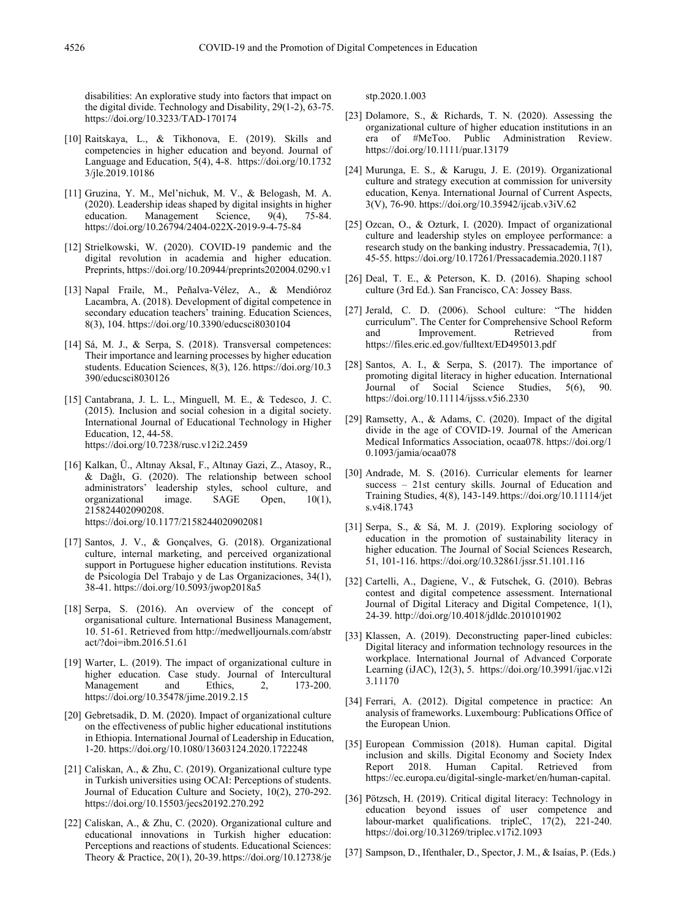disabilities: An explorative study into factors that impact on the digital divide. Technology and Disability, 29(1-2), 63-75. https://doi.org/10.3233/TAD-170174

- [10] Raitskaya, L., & Tikhonova, E. (2019). Skills and competencies in higher education and beyond. Journal of Language and Education, 5(4), 4-8. https://doi.org/10.1732 3/jle.2019.10186
- [11] Gruzina, Y. M., Mel'nichuk, M. V., & Belogash, M. A. (2020). Leadership ideas shaped by digital insights in higher education. Management Science, 9(4), 75-84. Management https://doi.org/10.26794/2404-022X-2019-9-4-75-84
- [12] Strielkowski, W. (2020). COVID-19 pandemic and the digital revolution in academia and higher education. Preprints, https://doi.org/10.20944/preprints202004.0290.v1
- [13] Napal Fraile, M., Peñalva-Vélez, A., & Mendióroz Lacambra, A. (2018). Development of digital competence in secondary education teachers' training. Education Sciences, 8(3), 104. https://doi.org/10.3390/educsci8030104
- [14] Sá, M. J., & Serpa, S. (2018). Transversal competences: Their importance and learning processes by higher education students. Education Sciences, 8(3), 126. https://doi.org/10.3 390/educsci8030126
- [15] Cantabrana, J. L. L., Minguell, M. E., & Tedesco, J. C. (2015). Inclusion and social cohesion in a digital society. International Journal of Educational Technology in Higher Education, 12, 44-58. https://doi.org/10.7238/rusc.v12i2.2459
- [16] Kalkan, Ü., Altınay Aksal, F., Altınay Gazi, Z., Atasoy, R., & Dağlı, G. (2020). The relationship between school leadership styles, school culture, and<br>image. SAGE Open, 10(1), organizational image. SAGE Open, 215824402090208. https://doi.org/10.1177/2158244020902081
- [17] Santos, J. V., & Gonçalves, G. (2018). Organizational culture, internal marketing, and perceived organizational support in Portuguese higher education institutions. Revista de Psicología Del Trabajo y de Las Organizaciones, 34(1), 38-41. https://doi.org/10.5093/jwop2018a5
- [18] Serpa, S. (2016). An overview of the concept of organisational culture. International Business Management, 10. 51-61. Retrieved from http://medwelljournals.com/abstr act/?doi=ibm.2016.51.61
- [19] Warter, L. (2019). The impact of organizational culture in higher education. Case study. Journal of Intercultural Management and Ethics, 2, 173-200. https://doi.org/10.35478/jime.2019.2.15
- [20] Gebretsadik, D. M. (2020). Impact of organizational culture on the effectiveness of public higher educational institutions in Ethiopia. International Journal of Leadership in Education, 1-20. https://doi.org/10.1080/13603124.2020.1722248
- [21] Caliskan, A., & Zhu, C. (2019). Organizational culture type in Turkish universities using OCAI: Perceptions of students. Journal of Education Culture and Society, 10(2), 270-292. https://doi.org/10.15503/jecs20192.270.292
- [22] Caliskan, A., & Zhu, C. (2020). Organizational culture and educational innovations in Turkish higher education: Perceptions and reactions of students. Educational Sciences: Theory & Practice, 20(1), 20-39.https://doi.org/10.12738/je

stp.2020.1.003

- [23] Dolamore, S., & Richards, T. N. (2020). Assessing the organizational culture of higher education institutions in an era of #MeToo. Public Administration Review. https://doi.org/10.1111/puar.13179
- [24] Murunga, E. S., & Karugu, J. E. (2019). Organizational culture and strategy execution at commission for university education, Kenya. International Journal of Current Aspects, 3(V), 76-90. https://doi.org/10.35942/ijcab.v3iV.62
- [25] Ozcan, O., & Ozturk, I. (2020). Impact of organizational culture and leadership styles on employee performance: a research study on the banking industry. Pressacademia, 7(1), 45-55. https://doi.org/10.17261/Pressacademia.2020.1187
- [26] Deal, T. E., & Peterson, K. D. (2016). Shaping school culture (3rd Ed.). San Francisco, CA: Jossey Bass.
- [27] Jerald, C. D. (2006). School culture: "The hidden curriculum". The Center for Comprehensive School Reform and Improvement. Retrieved from https://files.eric.ed.gov/fulltext/ED495013.pdf
- [28] Santos, A. I., & Serpa, S. (2017). The importance of promoting digital literacy in higher education. International<br>Journal of Social Science Studies, 5(6), 90. Journal of Social Science Studies, 5(6), 90. https://doi.org/10.11114/ijsss.v5i6.2330
- [29] Ramsetty, A., & Adams, C. (2020). Impact of the digital divide in the age of COVID-19. Journal of the American Medical Informatics Association, ocaa078. https://doi.org/1 0.1093/jamia/ocaa078
- [30] Andrade, M. S. (2016). Curricular elements for learner success – 21st century skills. Journal of Education and Training Studies, 4(8), 143-149.https://doi.org/10.11114/jet s.v4i8.1743
- [31] Serpa, S., & Sá, M. J. (2019). Exploring sociology of education in the promotion of sustainability literacy in higher education. The Journal of Social Sciences Research, 51, 101-116. https://doi.org/10.32861/jssr.51.101.116
- [32] Cartelli, A., Dagiene, V., & Futschek, G. (2010). Bebras contest and digital competence assessment. International Journal of Digital Literacy and Digital Competence, 1(1), 24-39. http://doi.org/10.4018/jdldc.2010101902
- [33] Klassen, A. (2019). Deconstructing paper-lined cubicles: Digital literacy and information technology resources in the workplace. International Journal of Advanced Corporate Learning (iJAC), 12(3), 5. https://doi.org/10.3991/ijac.v12i 3.11170
- [34] Ferrari, A. (2012). Digital competence in practice: An analysis of frameworks. Luxembourg: Publications Office of the European Union.
- [35] European Commission (2018). Human capital. Digital inclusion and skills. Digital Economy and Society Index Report 2018. Human Capital. Retrieved from https://ec.europa.eu/digital-single-market/en/human-capital.
- [36] Pötzsch, H. (2019). Critical digital literacy: Technology in education beyond issues of user competence and labour-market qualifications. tripleC, 17(2), 221-240. https://doi.org/10.31269/triplec.v17i2.1093
- [37] Sampson, D., Ifenthaler, D., Spector, J. M., & Isaías, P. (Eds.)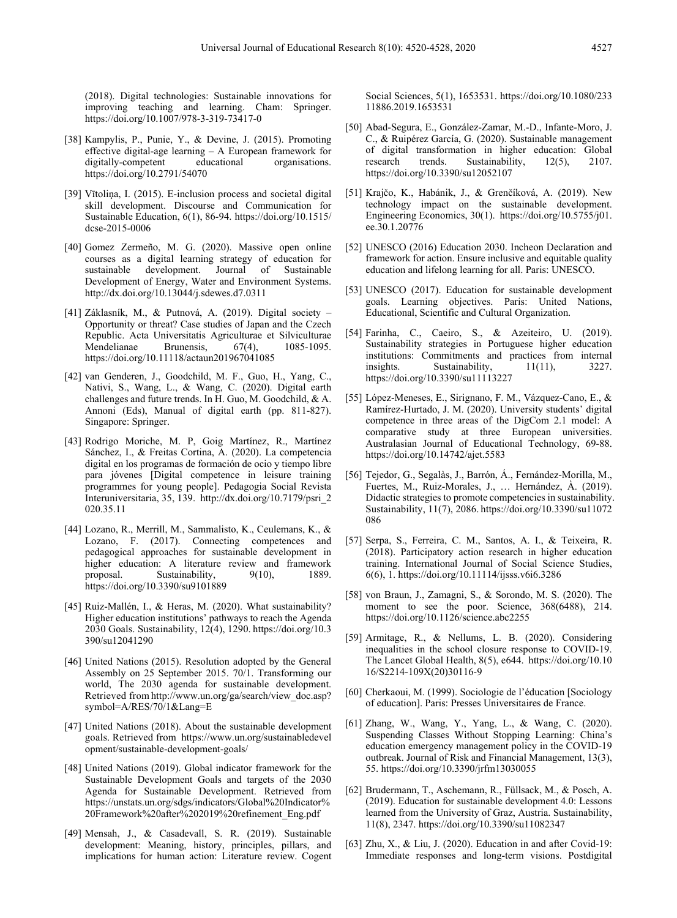(2018). Digital technologies: Sustainable innovations for improving teaching and learning. Cham: Springer. https://doi.org/10.1007/978-3-319-73417-0

- [38] Kampylis, P., Punie, Y., & Devine, J. (2015). Promoting effective digital-age learning – A European framework for digitally-competent educational organisations. digitally-competent https://doi.org/10.2791/54070
- [39] Vītoliņa, I. (2015). E-inclusion process and societal digital skill development. Discourse and Communication for Sustainable Education, 6(1), 86-94. https://doi.org/10.1515/ dcse-2015-0006
- [40] Gomez Zermeño, M. G. (2020). Massive open online courses as a digital learning strategy of education for sustainable development. Development of Energy, Water and Environment Systems. http://dx.doi.org/10.13044/j.sdewes.d7.0311
- [41] Záklasník, M., & Putnová, A. (2019). Digital society Opportunity or threat? Case studies of Japan and the Czech Republic. Acta Universitatis Agriculturae et Silviculturae Mendelianae Brunensis, 67(4), 1085-1095. https://doi.org/10.11118/actaun201967041085
- [42] van Genderen, J., Goodchild, M. F., Guo, H., Yang, C., Nativi, S., Wang, L., & Wang, C. (2020). Digital earth challenges and future trends. In H. Guo, M. Goodchild, & A. Annoni (Eds), Manual of digital earth (pp. 811-827). Singapore: Springer.
- [43] Rodrigo Moriche, M. P, Goig Martínez, R., Martínez Sánchez, I., & Freitas Cortina, A. (2020). La competencia digital en los programas de formación de ocio y tiempo libre para jóvenes [Digital competence in leisure training programmes for young people]. Pedagogia Social Revista Interuniversitaria, 35, 139. http://dx.doi.org/10.7179/psri\_2 020.35.11
- [44] Lozano, R., Merrill, M., Sammalisto, K., Ceulemans, K., & Lozano, F. (2017). Connecting competences and pedagogical approaches for sustainable development in higher education: A literature review and framework<br>proposal. Sustainability,  $9(10)$ , 1889. proposal. Sustainability, 9(10), 1889. https://doi.org/10.3390/su9101889
- [45] Ruiz-Mallén, I., & Heras, M. (2020). What sustainability? Higher education institutions' pathways to reach the Agenda 2030 Goals. Sustainability, 12(4), 1290. https://doi.org/10.3 390/su12041290
- [46] United Nations (2015). Resolution adopted by the General Assembly on 25 September 2015. 70/1. Transforming our world, The 2030 agenda for sustainable development. Retrieved fromhttp://www.un.org/ga/search/view\_doc.asp? symbol=A/RES/70/1&Lang=E
- [47] United Nations (2018). About the sustainable development goals. Retrieved from https://www.un.org/sustainabledevel opment/sustainable-development-goals/
- [48] United Nations (2019). Global indicator framework for the Sustainable Development Goals and targets of the 2030 Agenda for Sustainable Development. Retrieved from https://unstats.un.org/sdgs/indicators/Global%20Indicator% 20Framework%20after%202019%20refinement\_Eng.pdf
- [49] Mensah, J., & Casadevall, S. R. (2019). Sustainable development: Meaning, history, principles, pillars, and implications for human action: Literature review. Cogent

Social Sciences, 5(1), 1653531. https://doi.org/10.1080/233 11886.2019.1653531

- [50] Abad-Segura, E., González-Zamar, M.-D., Infante-Moro, J. C., & Ruipérez García, G. (2020). Sustainable management of digital transformation in higher education: Global research trends. Sustainability, 12(5), 2107. Sustainability, https://doi.org/10.3390/su12052107
- [51] Krajčo, K., Habánik, J., & Grenčíková, A. (2019). New technology impact on the sustainable development. Engineering Economics, 30(1). https://doi.org/10.5755/j01. ee.30.1.20776
- [52] UNESCO (2016) Education 2030. Incheon Declaration and framework for action. Ensure inclusive and equitable quality education and lifelong learning for all. Paris: UNESCO.
- [53] UNESCO (2017). Education for sustainable development goals. Learning objectives. Paris: United Nations, Educational, Scientific and Cultural Organization.
- [54] Farinha, C., Caeiro, S., & Azeiteiro, U. (2019). Sustainability strategies in Portuguese higher education institutions: Commitments and practices from internal insights. Sustainability,  $11(11)$ ,  $3227$ . https://doi.org/10.3390/su11113227
- [55] López-Meneses, E., Sirignano, F. M., Vázquez-Cano, E., & Ramírez-Hurtado, J. M. (2020). University students' digital competence in three areas of the DigCom 2.1 model: A comparative study at three European universities. Australasian Journal of Educational Technology, 69-88. https://doi.org/10.14742/ajet.5583
- [56] Tejedor, G., Segalàs, J., Barrón, Á., Fernández-Morilla, M., Fuertes, M., Ruiz-Morales, J., … Hernández, À. (2019). Didactic strategies to promote competencies in sustainability. Sustainability, 11(7), 2086. https://doi.org/10.3390/su11072 086
- [57] Serpa, S., Ferreira, C. M., Santos, A. I., & Teixeira, R. (2018). Participatory action research in higher education training. International Journal of Social Science Studies, 6(6), 1. https://doi.org/10.11114/ijsss.v6i6.3286
- [58] von Braun, J., Zamagni, S., & Sorondo, M. S. (2020). The moment to see the poor. Science, 368(6488), 214. https://doi.org/10.1126/science.abc2255
- [59] Armitage, R., & Nellums, L. B. (2020). Considering inequalities in the school closure response to COVID-19. The Lancet Global Health, 8(5), e644. https://doi.org/10.10 16/S2214-109X(20)30116-9
- [60] Cherkaoui, M. (1999). Sociologie de l'éducation [Sociology of education]. Paris: Presses Universitaires de France.
- [61] Zhang, W., Wang, Y., Yang, L., & Wang, C. (2020). Suspending Classes Without Stopping Learning: China's education emergency management policy in the COVID-19 outbreak. Journal of Risk and Financial Management, 13(3), 55. https://doi.org/10.3390/jrfm13030055
- [62] Brudermann, T., Aschemann, R., Füllsack, M., & Posch, A. (2019). Education for sustainable development 4.0: Lessons learned from the University of Graz, Austria. Sustainability, 11(8), 2347. https://doi.org/10.3390/su11082347
- [63] Zhu, X., & Liu, J. (2020). Education in and after Covid-19: Immediate responses and long-term visions. Postdigital